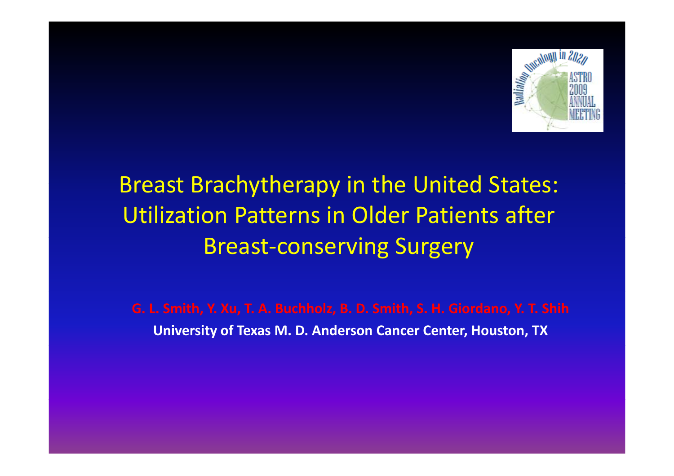

### Breast Brachytherapy in the United States: Utilization Patterns in Older Patients after Breast‐conserving Surgery

**G. L. Smith, Y. Xu, T. A. Buchholz, B. D. Smith, S. H. Giordano, Y. T. Shih University of Texas M. D. Anderson Cancer Center, Houston, TX**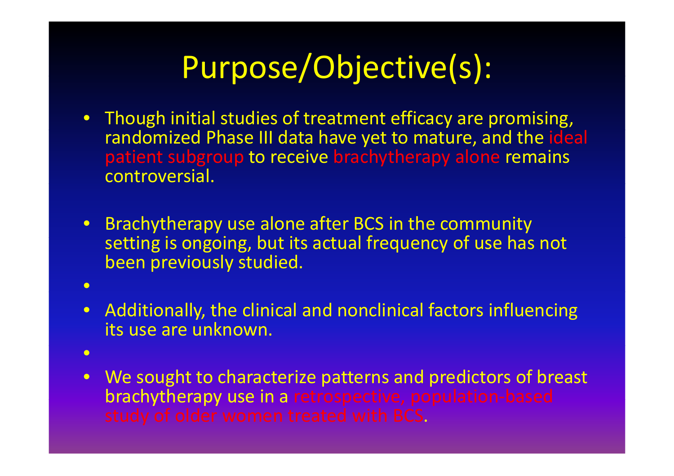# Purpose/Objective(s):

- Though initial studies of treatment efficacy are promising, randomized Phase III data have yet to mature, and the ideal patient subgroup to receive brachytherapy alone remains controversial.
- Brachytherapy use alone after BCS in the community setting is ongoing, but its actual frequency of use has not been previously studied.
- •
- $\bullet$  Additionally, the clinical and nonclinical factors influencing its use are unknown.
- •
- We sought to characterize patterns and predictors of breast brachytherapy use in a retrospective, population-based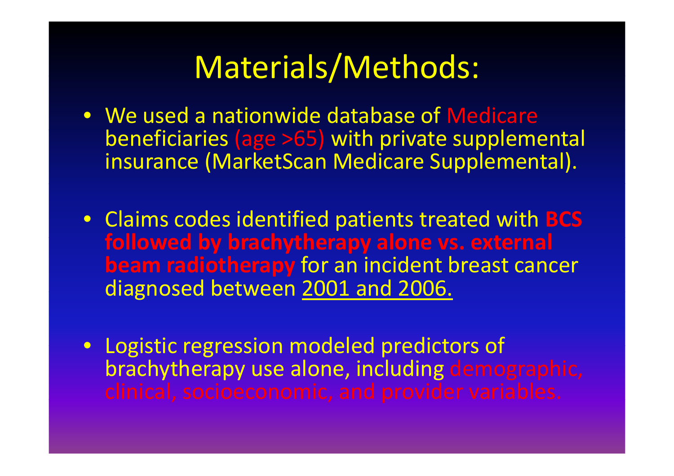### Materials/Methods:

- We used a nationwide database of Medicare beneficiaries (age >65) with private supplemental insurance (MarketScan Medicare Supplemental).
- Claims codes identified patients treated with **BCS f ll d o owe b y b h th rac ytherapy alone vs. ext l erna beam radiotherapy** for an incident breast cancer diagnosed between 2001 and 2006.
- Logistic regression modeled predictors of brachytherapy use alone, including demographic,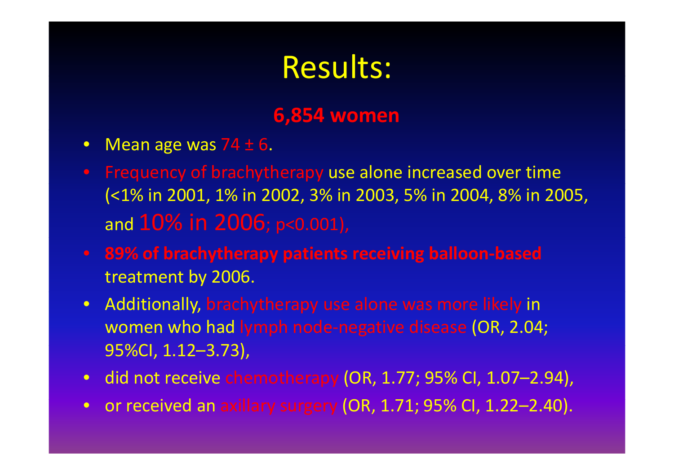### Results:

### **6,854 women**

- Mean age was 74  $\pm$  6.
- Frequency of brachytherapy use alone increased over time (<1% in 2001, 1% in 2002, 3% in 2003, 5% in 2004, 8% in 2005, and 10% in 2006; p<0.001),
- **89% of brachytherapy patients receiving balloon‐based** treatment by 2006.
- Additionally, brachytherapy use alone was more likely in women who had lymph node‐negative disease (OR, 2.04;  $95\%$ CI, 1.12-3.73),
- did not receive chemotherapy (OR, 1.77; 95% CI, 1.07–2.94),
- or received an axillary surgery (OR, 1.71; 95% CI, 1.22–2.40).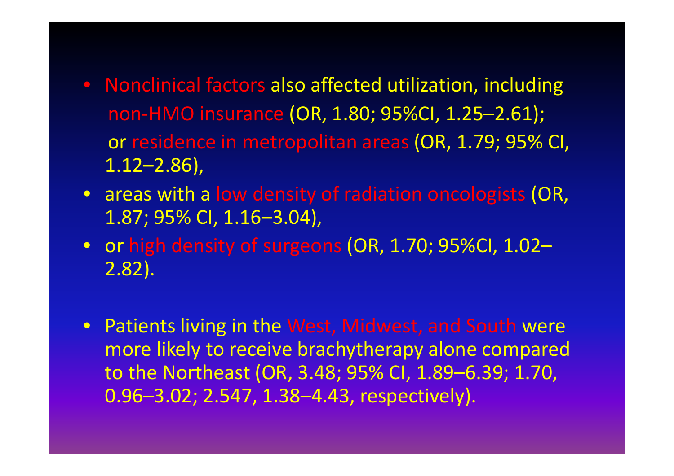- Nonclinical factors also affected utilization, including non‐HMO insurance (OR, 1.80; 95%CI, 1.25–2.61); or residence in metropolitan areas (OR, 1.79; 95% CI, 1.12–2.86),
- areas with <sup>a</sup> low density of radiation oncologists (OR, 1.87; 95% CI, 1.16–3.04),
- $\bullet~$  or high density of surgeons (OR, 1.70; 95%CI, 1.02– 2.82).
- Patients living in the West, Midwest, and South were more likely to receive brachytherapy alone compared to the Northeast (OR, 3.48; 95% CI, 1.89–6.39; 1.70, 0.96–3.02; 2.547, 1.38–4.43, respectively).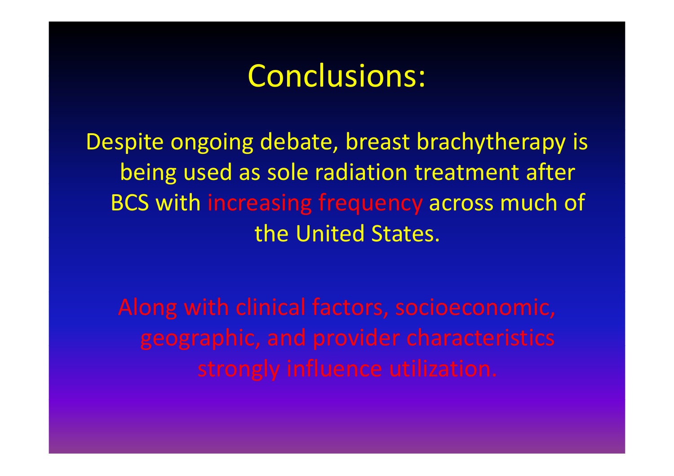### Conclusions:

Despite ongoing debate, breast brachytherapy is being used as sole radiation treatment after BCS with increasing frequency across much of the United States.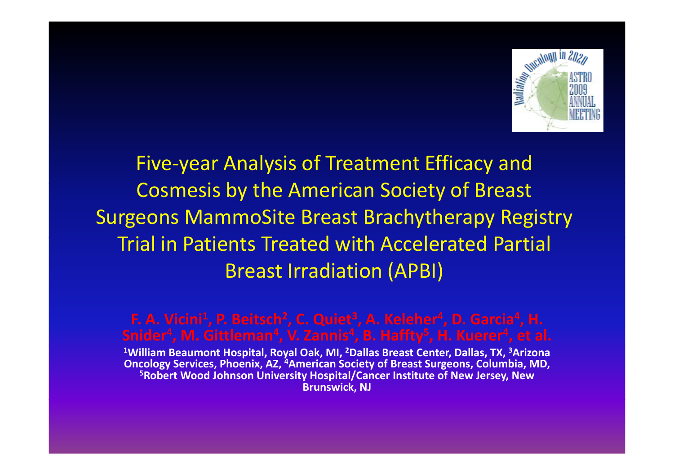

Five-year Analysis of Treatment Efficacy and Cosmesis by the American Society of Breast Surgeons MammoSite Breast Brachytherapy Registry Trial in Patients Treated with Accelerated Partial Breast Irradiation (APBI)

**F. A. Vicini1, P. Beitsch2, C. Quiet3, A. Keleher4, D. Garcia4, H. 1William Beaumont Hospital, Royal Oak, MI, 2Dallas Breast Center, Dallas, TX, 3Arizona Oncology Services, Phoenix, AZ, 4American Society of Breast Surgeons, Columbia, MD, 5Robert Wood Johnson University Hospital/Cancer Institute of New Jersey, New Brunswick, NJ**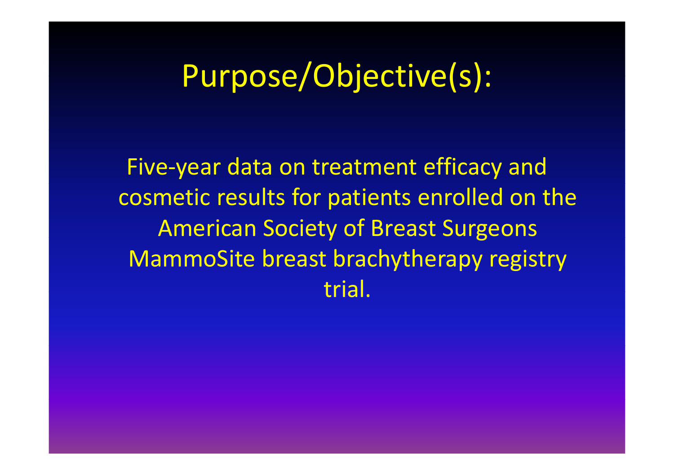### Purpose/Objective(s):

Five ‐year data on treatment efficacy and cosmetic results for patients enrolled on the American Societ y of Breast Sur geons MammoSite breast brachytherapy registry trial.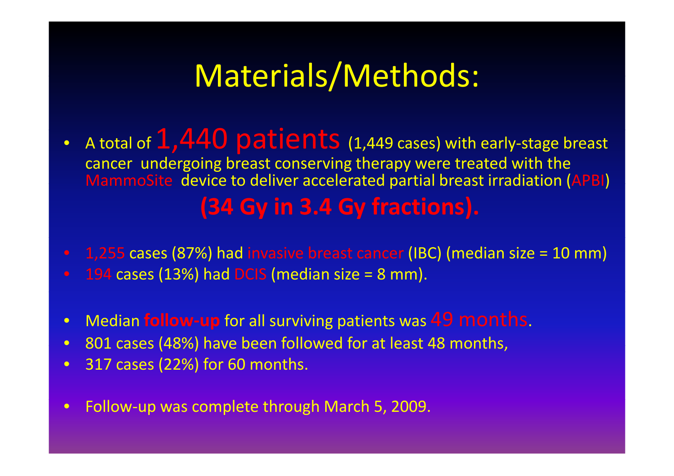## Materials/Methods:

- •A total of  $1,440$   ${\sf patients}$  (1,449 cases) with early-stage breast cancer undergoing breast conserving therapy were treated with the MammoSite device to deliver accelerated partial breast irradiation (APBI) **(34 Gy in 3.4 Gy fractions).**
- $\bullet$ • 1,255 cases (87%) had invasive breast cancer (IBC) (median size = 10 mm) • 194 cases (13%) had DCIS (median size = 8 mm).
- $\bullet$ Median **follow ‐up** for all surviving patients was 49 months.
- $\bullet$ 801 cases (48%) have been followed for at least 48 months,
- $\bullet$ 317 cases (22%) for 60 months.
- $\bullet$ • Follow-up was complete through March 5, 2009.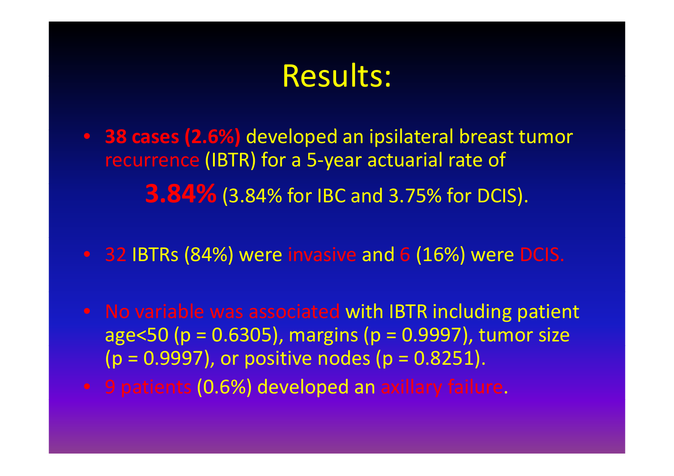### Results:

- **38 cases (2.6%)** developed an ipsilateral breast tumor recurrence (IBTR) for <sup>a</sup> 5‐year actuarial rate of **3.84%** (3.84% for IBC and 3.75% for DCIS).
- 32 IBTRs (84%) were invasive and 6 (16%) were DCIS.
- No variable was associated with IBTR including patient age<50 (p <sup>=</sup> 0.6305), margins (p <sup>=</sup> 0.9997), tumor size  $(p = 0.9997)$ , or positive nodes  $(p = 0.8251)$ .
- 9 patients (0.6%) developed an axillary failure.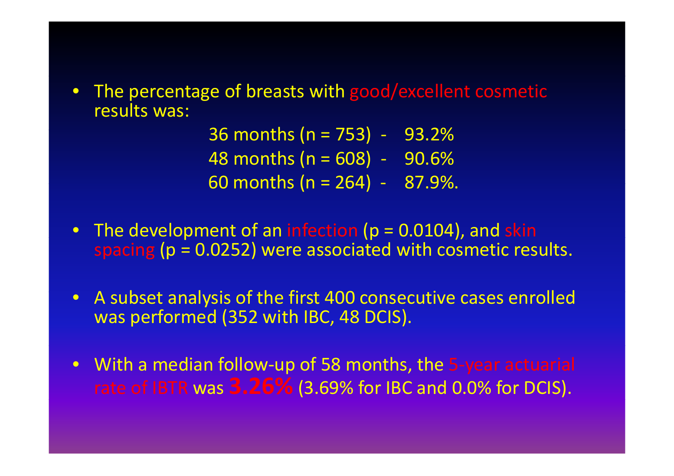$\bullet$  The percentage of breasts with good/excellent cosmetic results was:

> 36 months (n <sup>=</sup> 753) ‐ 93 2%. 48 months (n <sup>=</sup> 608) ‐ 90.6% 60 months (n <sup>=</sup> 264) ‐ 87 9%. .

- $\bullet$  The development of an infection (p <sup>=</sup> 0.0104), and skin spacing (p <sup>=</sup> 0.0252) were associated with cosmetic results.
- $\bullet$ • A subset analysis of the first 400 consecutive cases enrolled was performed (352 with IBC, 48 DCIS).
- $\bullet$  With <sup>a</sup> median follow‐up of 58 months, the 5‐year actuarial rate of IBTR was **3.26%** (3.69% for IBC and 0.0% for DCIS).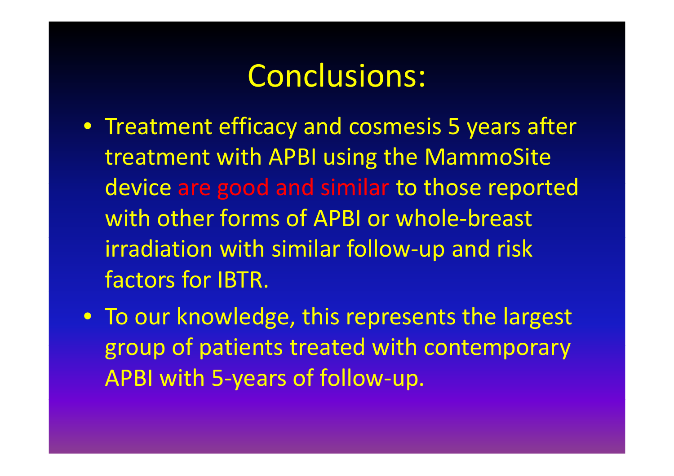### Conclusions:

- Treatment efficacy and cosmesis 5 years after treatment with APBI using the MammoSite device are good and similar to those reported with other forms of APBI or whole‐breast irradiation with similar follow‐up and risk factors for IBTR.
- To our knowledge, this represents the largest group of patients treated with contemporary APBI with 5‐years of follow‐up.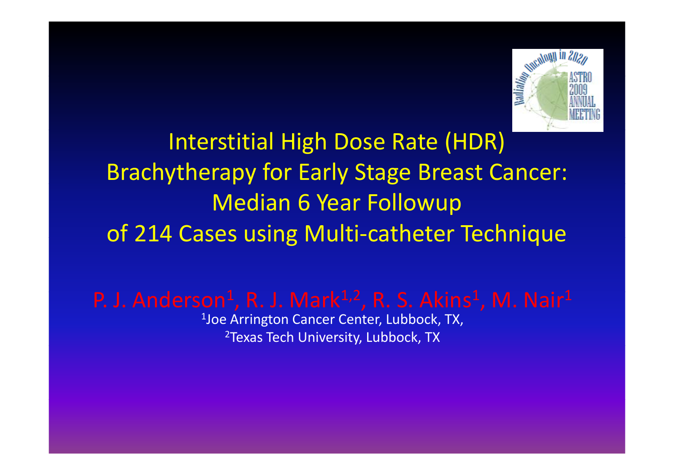

Interstitial High Dose Rate (HDR) Brachytherapy for Early Stage Breast Cancer: Median 6 Year Followup of 214 Cases using Multi‐catheter Technique

P. J. Anderson $^1$ , R. J. Mark $^{1,2}$ , R. S. Akins $^1$ , M. Nair $^1$ 

 $^4$ Joe Arrington Cancer Center, Lubbock, TX,  $^2$ Texas Tech University, Lubbock, TX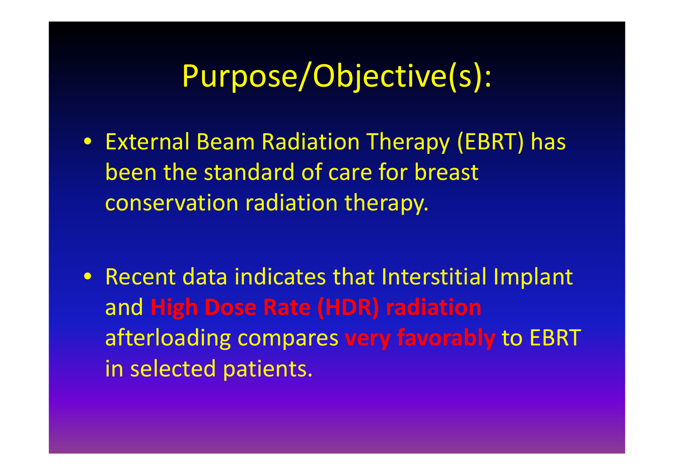## Purpose/Objective(s):

• External Beam Radiation Therapy (EBRT) has been the standard of care for breast conservation radiation therapy.

• Recent data indicates that Interstitial Implant and **High Dose Rate (HDR) radiation** afterloading compares **very favorably** to EBRT in selected patients.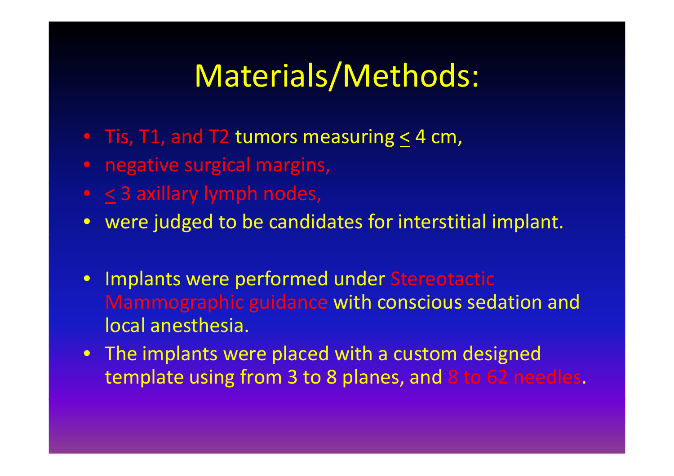## Materials/Methods:

- Tis, T1, and T2 tumors measuring  $\leq$  4 cm,
- negative surgical margins,
- $\leq$  3 axillary lymph nodes,
- were judged to be candidates for interstitial implant.
- Implants were performed under Stereotactic Mammographic guidance with conscious sedation and local anesthesia.
- The implants were placed with a custom designed template using from 3 to 8 planes, and 8 to 62 needles.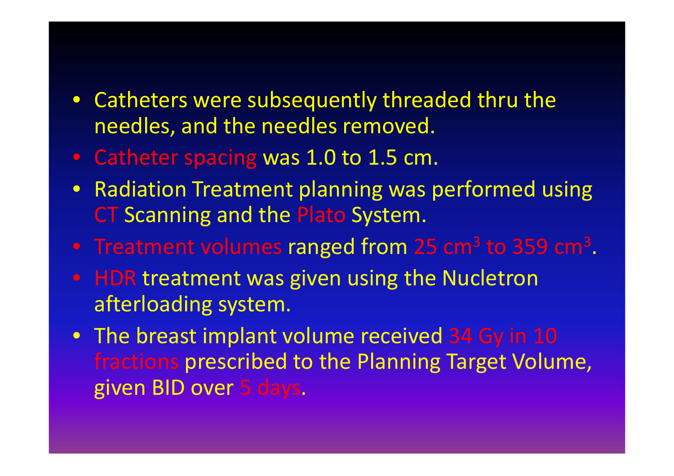#### $\bullet$  Catheters were subsequently threaded thru the needles, and the needles removed.

- Catheter spacing was 1.0 to 1.5 cm.
- $\bullet$ • Radiation Treatment planning was performed using CT Scanning and the Plato System.
- Treatment volumes ranged from 25 cm<sup>3</sup> to 359 cm<sup>3</sup>.
- HDR treatment was given using the Nucletron afterloading system.
- The breast implant volume received 34 Gy in 10 fractions prescribed to the Planning Target Volume, given BID over 5 days.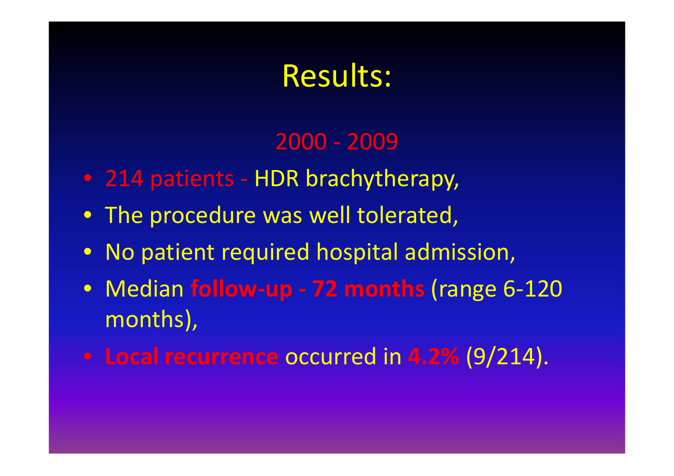### Results:

### 2000 ‐ 2009

- 214 patients HDR brachytherapy,
- The procedure was well tolerated,
- No patient required hospital admission,
- Median **follow‐up ‐ 72 months** (range 6‐120 months),
- **Local recurrence** occurred in **4.2%** (9/214).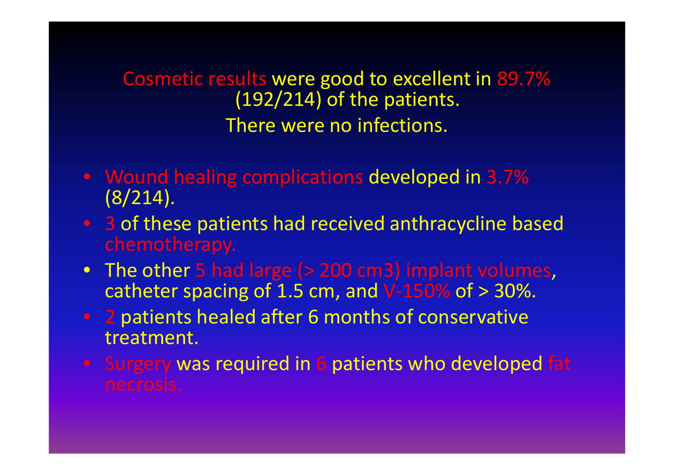Cosmetic results were good to excellent in 89 7%. (192/214) of the patients. There were no infections.

- Wound healing complications developed in 3.7% (8/214).
- 3 of these patients had received anthracycline based ch emotherapy.
- The other 5 had large (> 200 cm3) implant volumes, catheter spacing of 1.5 cm, and V-150% of > 30%.
- 2 patients healed after 6 months of conservative treatment.
- Surgery was required in 6 patients who developed fat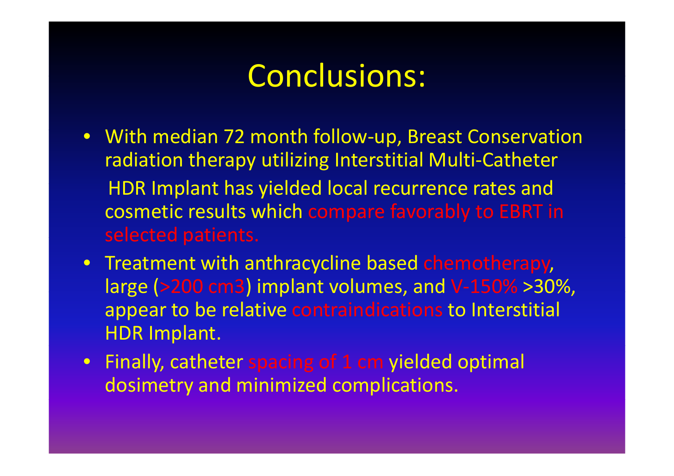### Conclusions:

- With median 72 month follow-up, Breast Conservation radiation therapy utilizing Interstitial Multi‐Catheter HDR Implant has yielded local recurrence rates and cosmetic results which compare favorably to EBRT in selected patients.
- Treatment with anthracycline based chemotherapy, large (>200 cm3) implant volumes, and V‐150% >30%, appear to be relative contraindications to Interstitial HDR Implant.
- Finally, catheter spacing of 1 cm yielded optimal dosimetry and minimized complications.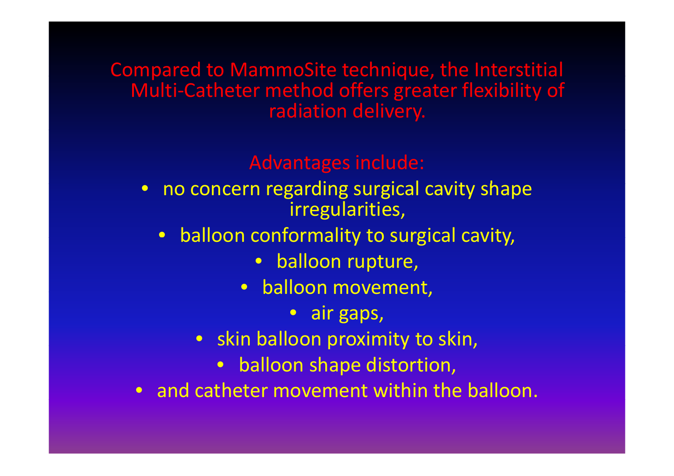#### Compared to MammoSite technique, the Interstitial Multi‐Catheter method offers greater flexibility of radiation delivery.

#### Advantages include:

- no concern regarding surgical cavity shape irregularities,
	- $\bullet$  balloon conformality to surgical cavity,
		- $\bullet$ balloon rupture,
		- balloon movement,
			- air gaps,
		- skin balloon proximity to skin,
			- balloon shape distortion,
- $\bullet$ • and catheter movement within the balloon.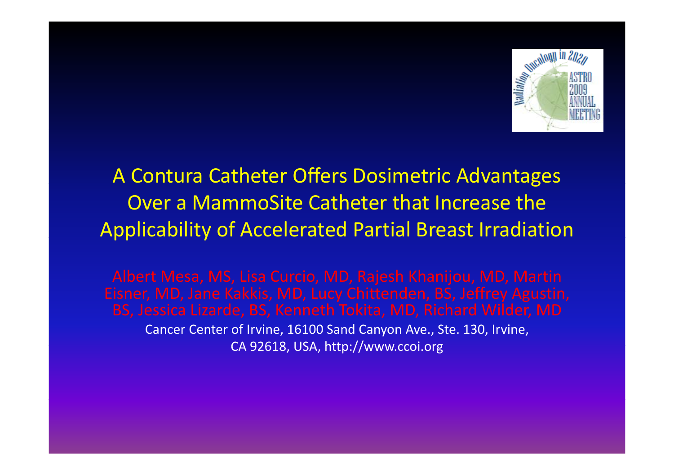

### A Contura Catheter Offers Dosimetric Advantages Over a MammoSite Catheter that Increase the Applicability of Accelerated Partial Breast Irradiation

Eisner, MD, Jane Kakkis, MD, Lucy Chittenden, BS, Jeffrey Agustin, Cancer Center of Irvine, 16100 Sand Canyon Ave., Ste. 130, Irvine, CA 92618, USA, http://www.ccoi.org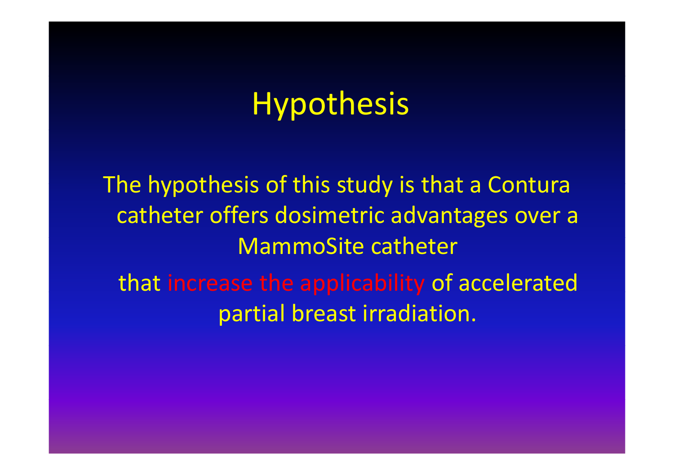# Hypothesis

The hypothesis of this study is that <sup>a</sup> Contura catheter offers dosimetric advantages over <sup>a</sup> MammoSite catheter that increase the applicability of accelerated partial breast irradiation.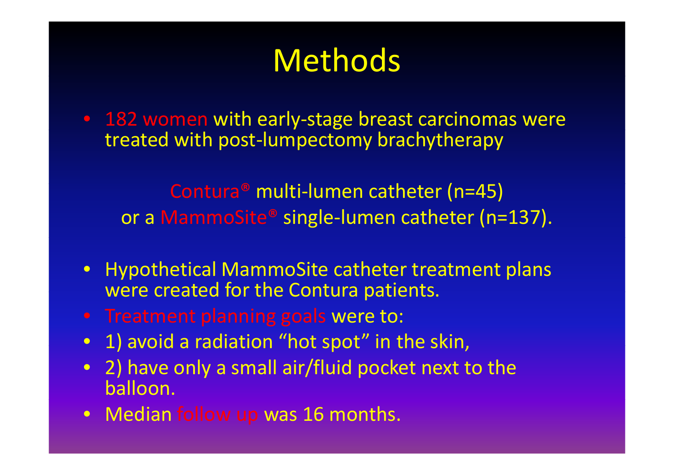## Methods

• 182 women with early‐stage breast carcinomas were treated with post‐lumpectomy brachytherapy

Contura® multi-lumen catheter (n=45) or a MammoSite® single‐lumen catheter (n=137).

- Hypothetical MammoSite catheter treatment plans were created for the Contura patients.
- Treatment planning goals were to:
- 1) avoid <sup>a</sup> radiation "hot spot" in the skin,
- 2) have only <sup>a</sup> small air/fluid pocket next to the balloon.
- Median follow up was 16 months.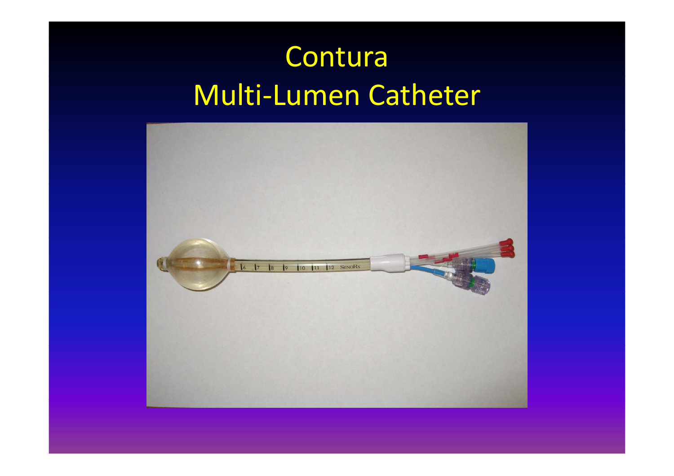## Contura Multi‐Lumen Catheter

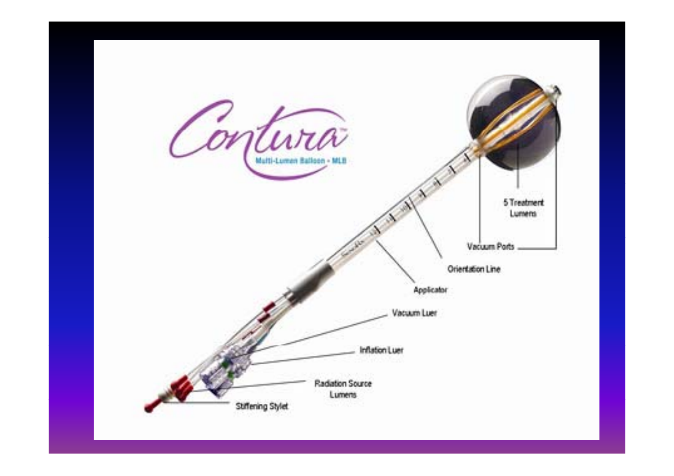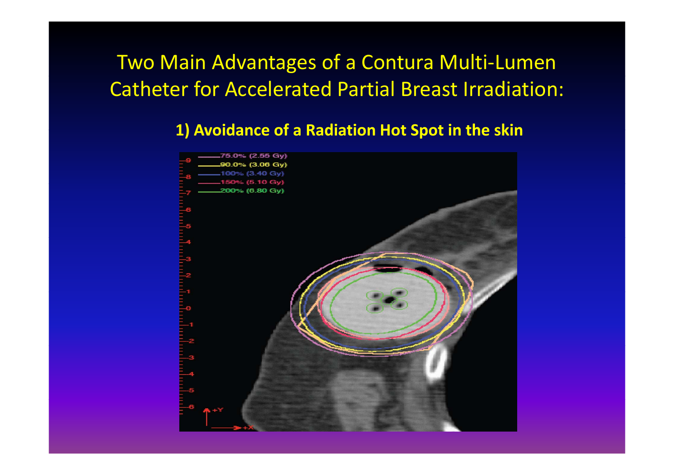### Two Main Advantages of <sup>a</sup> Contura Multi‐Lumen Catheter for Accelerated Partial Breast Irradiation:

#### **1) Avoidance of <sup>a</sup> Radiation Hot Spot in the skin**

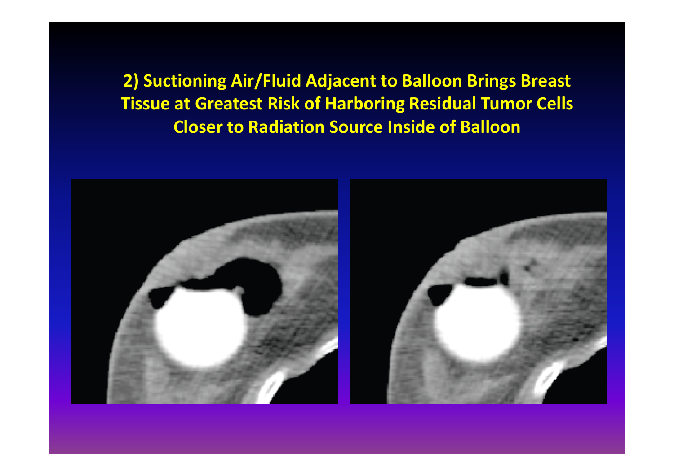2) Suctioning Air/Fluid Adjacent to Balloon Brings Breast **Tissue at Greatest Risk of Harboring Residual Tumor Cells Closer to Radiation Source Inside of Balloon**

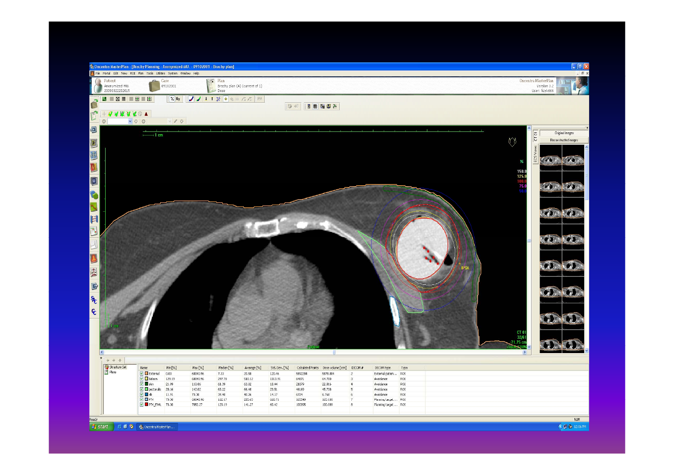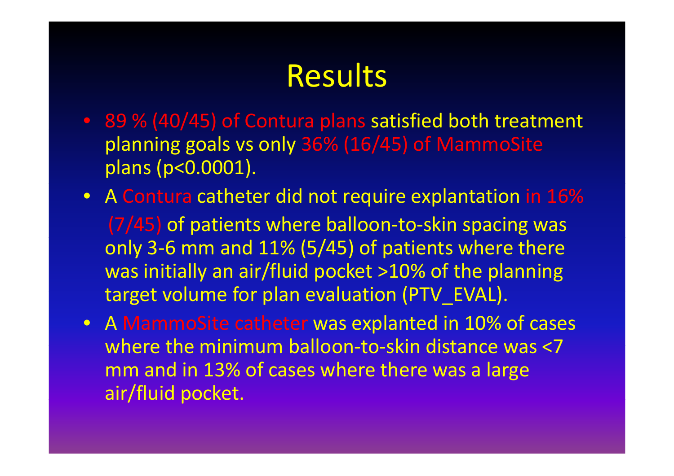## **Results**

- 89 % (40/45) of Contura plans satisfied both treatment planning goals vs only 36% (16/45) of MammoSite plans (p<0.0001).
- A Contura catheter did not require explantation in 16% (7/45) of patients where balloon‐to‐skin spacing was only 3‐6 mm and 11% (5/45) of patients where there was initially an air/fluid pocket >10% of the planning target volume for plan evaluation (PTV EVAL).
- A MammoSite catheter was explanted in 10% of cases where the minimum balloon-to-skin distance was <7 mm and in 13% of cases where there was <sup>a</sup> large air/fluid pocket.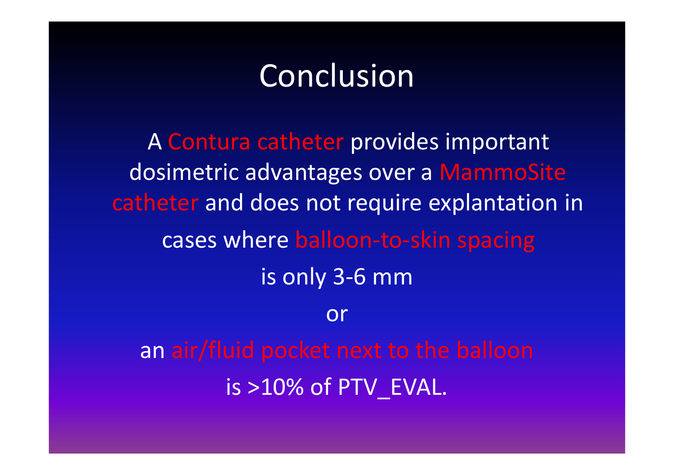### Conclusion

A Contura catheter provides important dosimetric advantages over <sup>a</sup> MammoSite catheter and does not require explantation in cases where balloon ‐to‐skin spacing is only 3‐6 mm oran air/fluid pocket next to the balloon is >10% of PTV\_EVAL.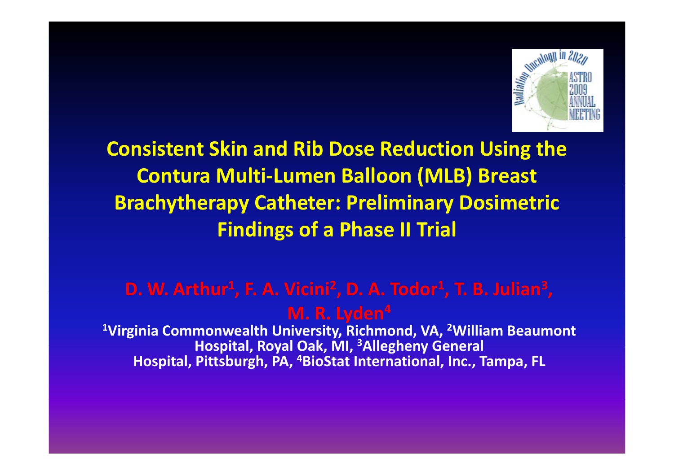

**Consistent Skin and Rib Dose Reduction Using the Contura Multi‐Lumen Balloon ( ) MLB Breast Brachytherapy Catheter: Preliminary Dosimetric Findings of <sup>a</sup> Phase II Trial**

#### D. W. Arthur<sup>1</sup>, F. A. Vicini<sup>2</sup>, D. A. Todor<sup>1</sup>, T. B. Julian<sup>3</sup>,

**M. R. Lyden4**

**1Virginia Commonwealth University, Richmond, VA, 2William Beaumont Hospital Royal Oak MI Hospital, Oak, MI, 3Allegheny General Hospital, Pittsburgh, PA, 4BioStat International, Inc., Tampa, FL**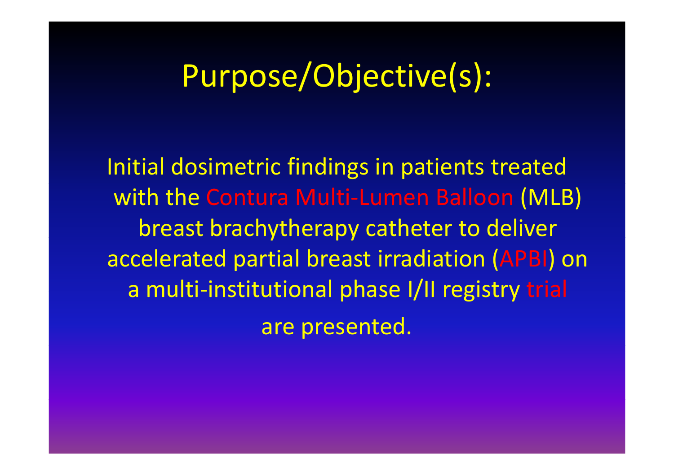### Purpose/Objective(s):

Initial dosimetric findings in patients treated with the Contura Multi ‐Lumen Balloon (MLB) breast brachytherapy catheter to deliver accelerated partial breast irradiation (APBI ) on a multi ‐institutional phase I/II registry trial are presented.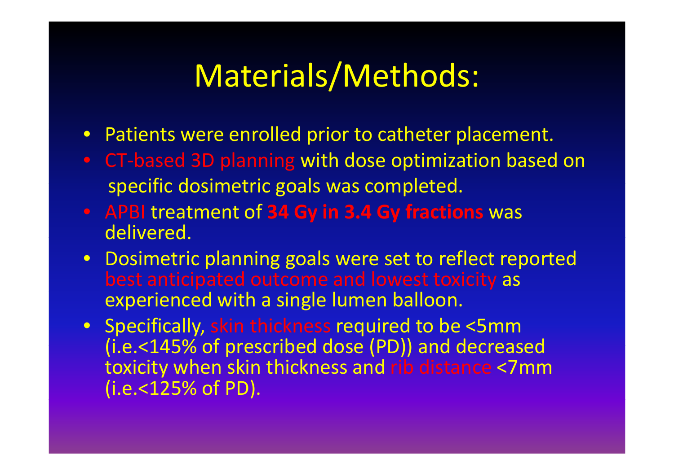## Materials/Methods:

- Patients were enrolled prior to catheter placement.
- CT ‐based 3D planning with dose optimization based on specific dosimetric goals was completed.
- APBI treatment of **34 Gy in 3.4 Gy fractions** was delivered.
- Dosimetric planning goals were set to reflect reported best anticipated outcome and lowest toxicity as experienced with a single lumen balloon.
- Specifically, skin thickness required to be <5mm (i.e.<145% of prescribed dose (PD)) and decreased toxicity when skin thickness and rib distance <7mm (i.e.<125% of PD).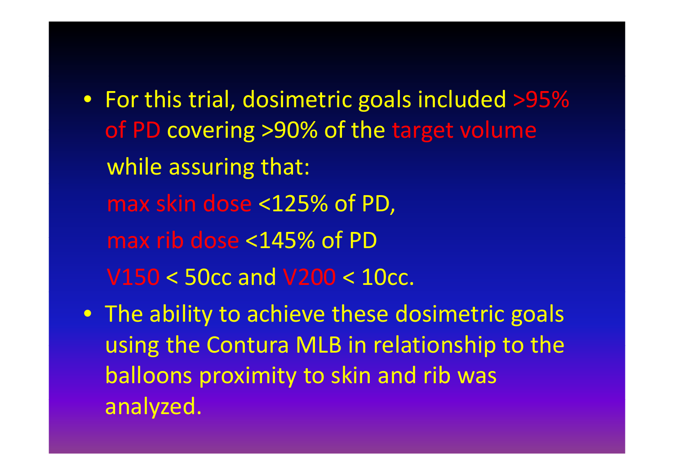- For this trial, dosimetric goals included >95% of PD covering >90% of the target volume while assuring that: max skin dose <125% of PD, max rib dose <145% of PD V150 <sup>&</sup>lt; 50cc and V200 < 10cc.
- The ability to achieve these dosimetric goals using the Contura MLB in relationship to the balloons proximity to skin and rib was analyzed.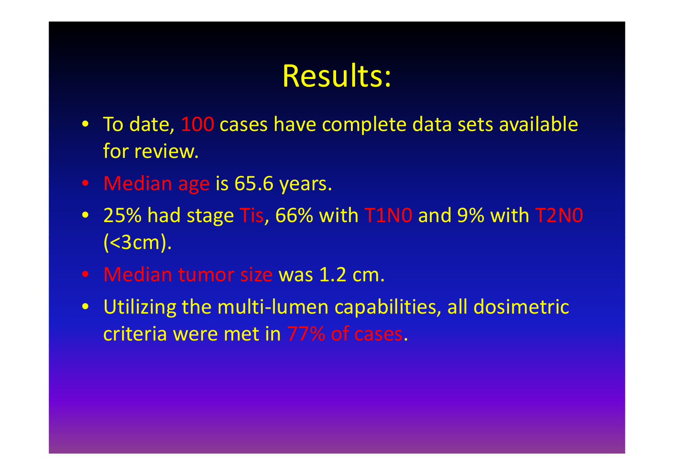### Results:

- To date, 100 cases have complete data sets available for review.
- Median age is 65.6 years.
- 25% had stage Tis, 66% with T1N0 and 9% with T2N0  $( $3 cm$ ).$
- Median tumor size was 1.2 cm.
- Utilizing the multi‐lumen capabilities, all dosimetric criteria were met in 77% of cases.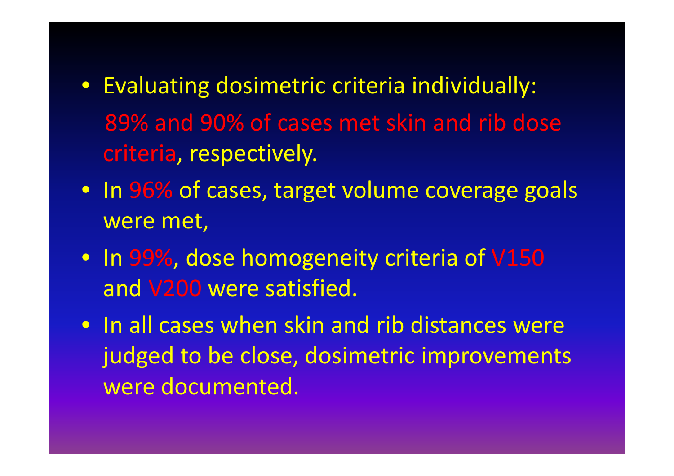- Evaluating dosimetric criteria individually: 89% and 90% of cases met skin and rib dose criteria, respectively.
- In 96% of cases, target volume coverage goals were met,
- In 99%, dose homogeneity criteria of V150 and V200 were satisfied.
- In all cases when skin and rib distances were judged to be close, dosimetric improvements were documented.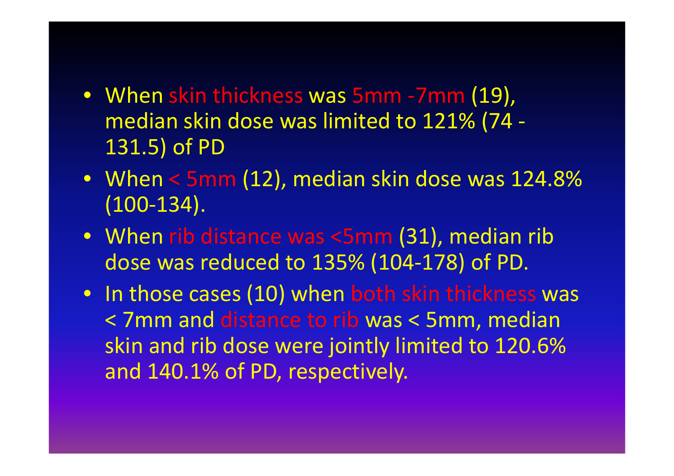- When skin thickness was 5mm ‐7mm (19), median skin dose was limited to 121% (74 ‐ 131.5) of PD
- When < 5mm (12), median skin dose was 124.8% (100‐134).
- When rib distance was <5mm (31), median rib dose was reduced to 135% (104‐178) of PD.
- In those cases (10) when both skin thickness was < 7mm and distance to rib was <sup>&</sup>lt; 5mm, median skin and rib dose were jointly limited to 120.6% and 140.1% of PD, respectively.